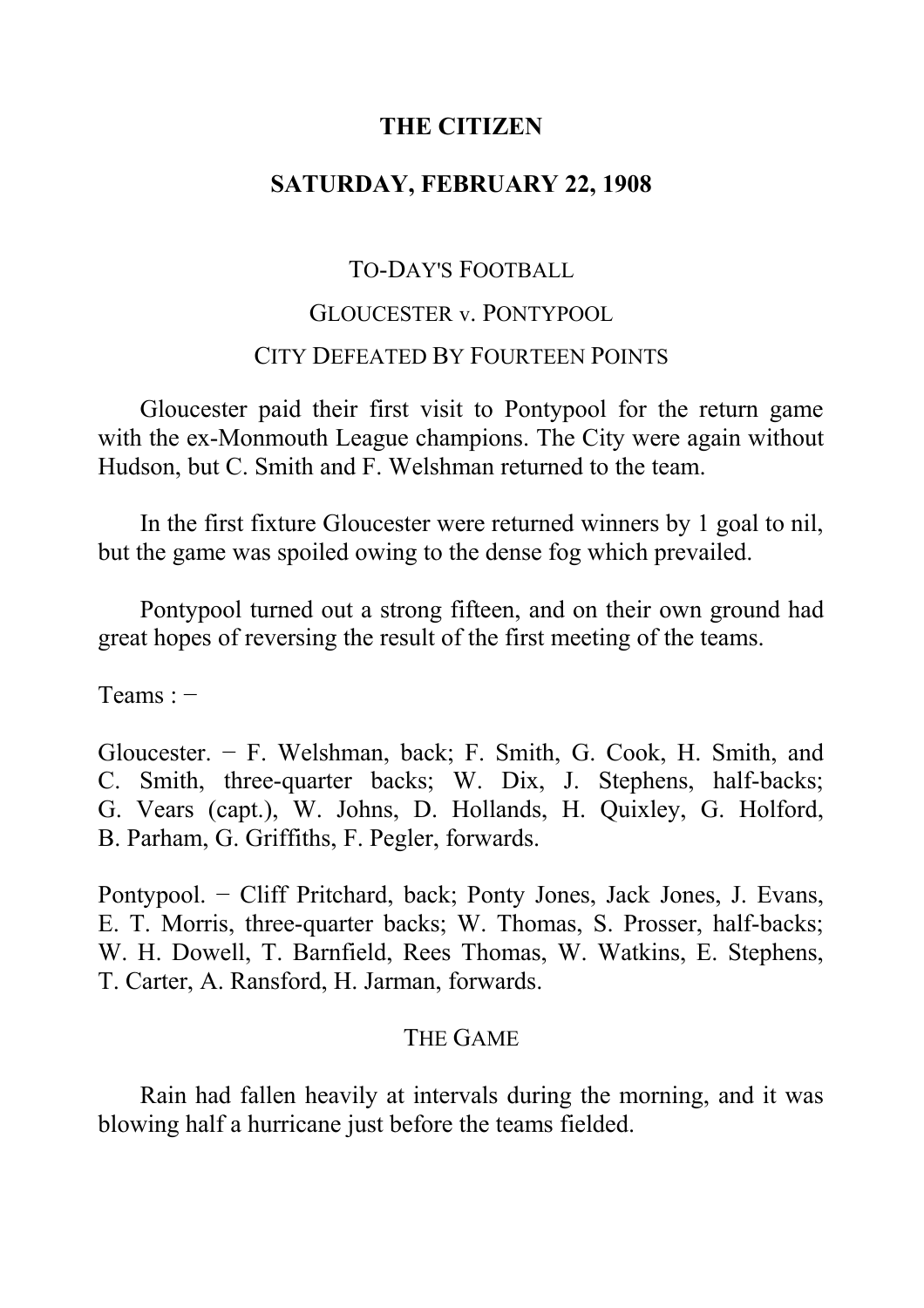# **THE CITIZEN**

# **SATURDAY, FEBRUARY 22, 1908**

# TO-DAY'S FOOTBALL

# GLOUCESTER v. PONTYPOOL CITY DEFEATED BY FOURTEEN POINTS

Gloucester paid their first visit to Pontypool for the return game with the ex-Monmouth League champions. The City were again without Hudson, but C. Smith and F. Welshman returned to the team.

In the first fixture Gloucester were returned winners by 1 goal to nil, but the game was spoiled owing to the dense fog which prevailed.

Pontypool turned out a strong fifteen, and on their own ground had great hopes of reversing the result of the first meeting of the teams.

Teams : −

Gloucester. − F. Welshman, back; F. Smith, G. Cook, H. Smith, and C. Smith, three-quarter backs; W. Dix, J. Stephens, half-backs; G. Vears (capt.), W. Johns, D. Hollands, H. Quixley, G. Holford, B. Parham, G. Griffiths, F. Pegler, forwards.

Pontypool. − Cliff Pritchard, back; Ponty Jones, Jack Jones, J. Evans, E. T. Morris, three-quarter backs; W. Thomas, S. Prosser, half-backs; W. H. Dowell, T. Barnfield, Rees Thomas, W. Watkins, E. Stephens, T. Carter, A. Ransford, H. Jarman, forwards.

## THE GAME

Rain had fallen heavily at intervals during the morning, and it was blowing half a hurricane just before the teams fielded.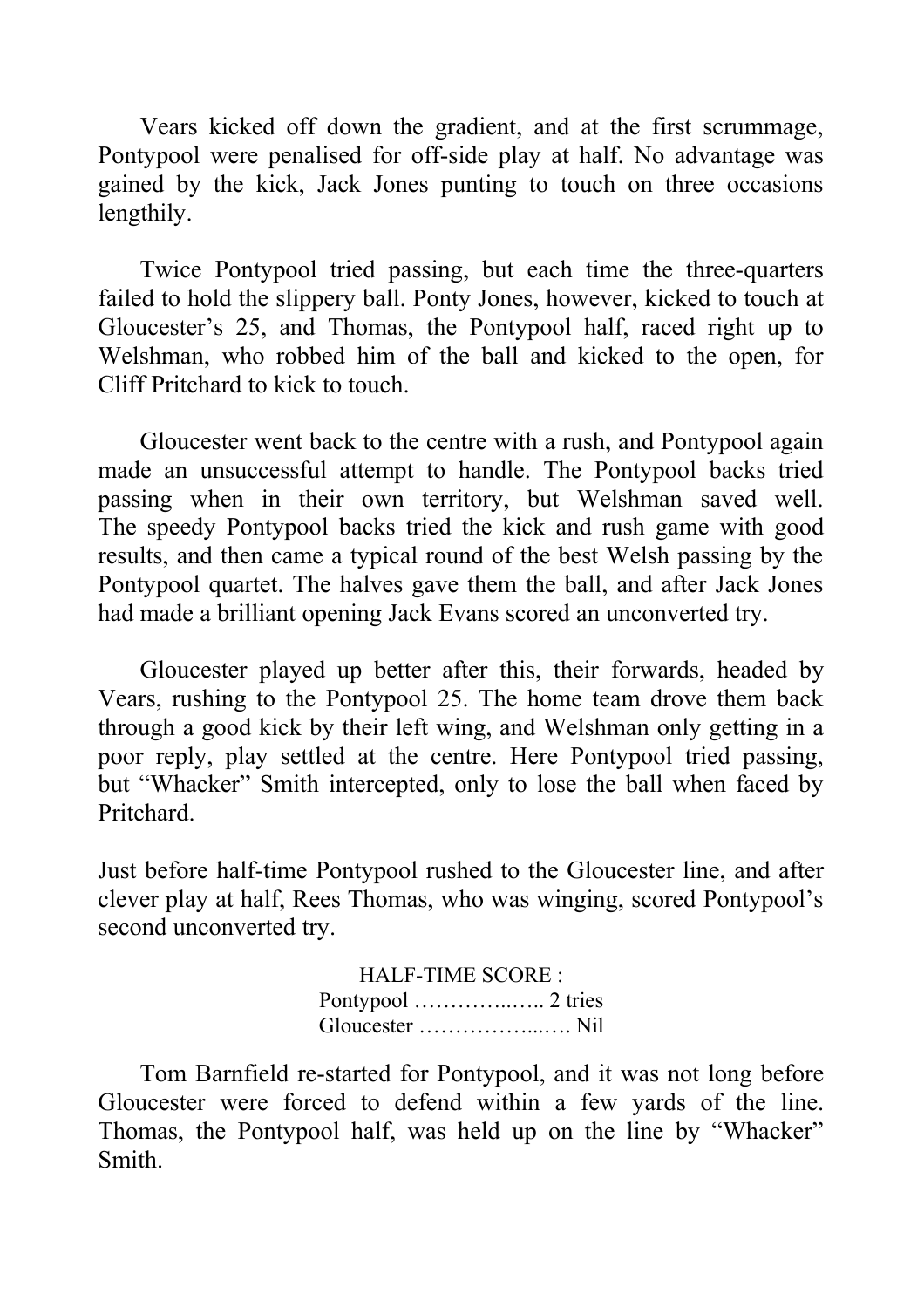Vears kicked off down the gradient, and at the first scrummage, Pontypool were penalised for off-side play at half. No advantage was gained by the kick, Jack Jones punting to touch on three occasions lengthily.

Twice Pontypool tried passing, but each time the three-quarters failed to hold the slippery ball. Ponty Jones, however, kicked to touch at Gloucester's 25, and Thomas, the Pontypool half, raced right up to Welshman, who robbed him of the ball and kicked to the open, for Cliff Pritchard to kick to touch.

Gloucester went back to the centre with a rush, and Pontypool again made an unsuccessful attempt to handle. The Pontypool backs tried passing when in their own territory, but Welshman saved well. The speedy Pontypool backs tried the kick and rush game with good results, and then came a typical round of the best Welsh passing by the Pontypool quartet. The halves gave them the ball, and after Jack Jones had made a brilliant opening Jack Evans scored an unconverted try.

Gloucester played up better after this, their forwards, headed by Vears, rushing to the Pontypool 25. The home team drove them back through a good kick by their left wing, and Welshman only getting in a poor reply, play settled at the centre. Here Pontypool tried passing, but "Whacker" Smith intercepted, only to lose the ball when faced by Pritchard.

Just before half-time Pontypool rushed to the Gloucester line, and after clever play at half, Rees Thomas, who was winging, scored Pontypool's second unconverted try.

> HALF-TIME SCORE : Pontypool …………..….. 2 tries Gloucester ……………...…. Nil

Tom Barnfield re-started for Pontypool, and it was not long before Gloucester were forced to defend within a few yards of the line. Thomas, the Pontypool half, was held up on the line by "Whacker" Smith.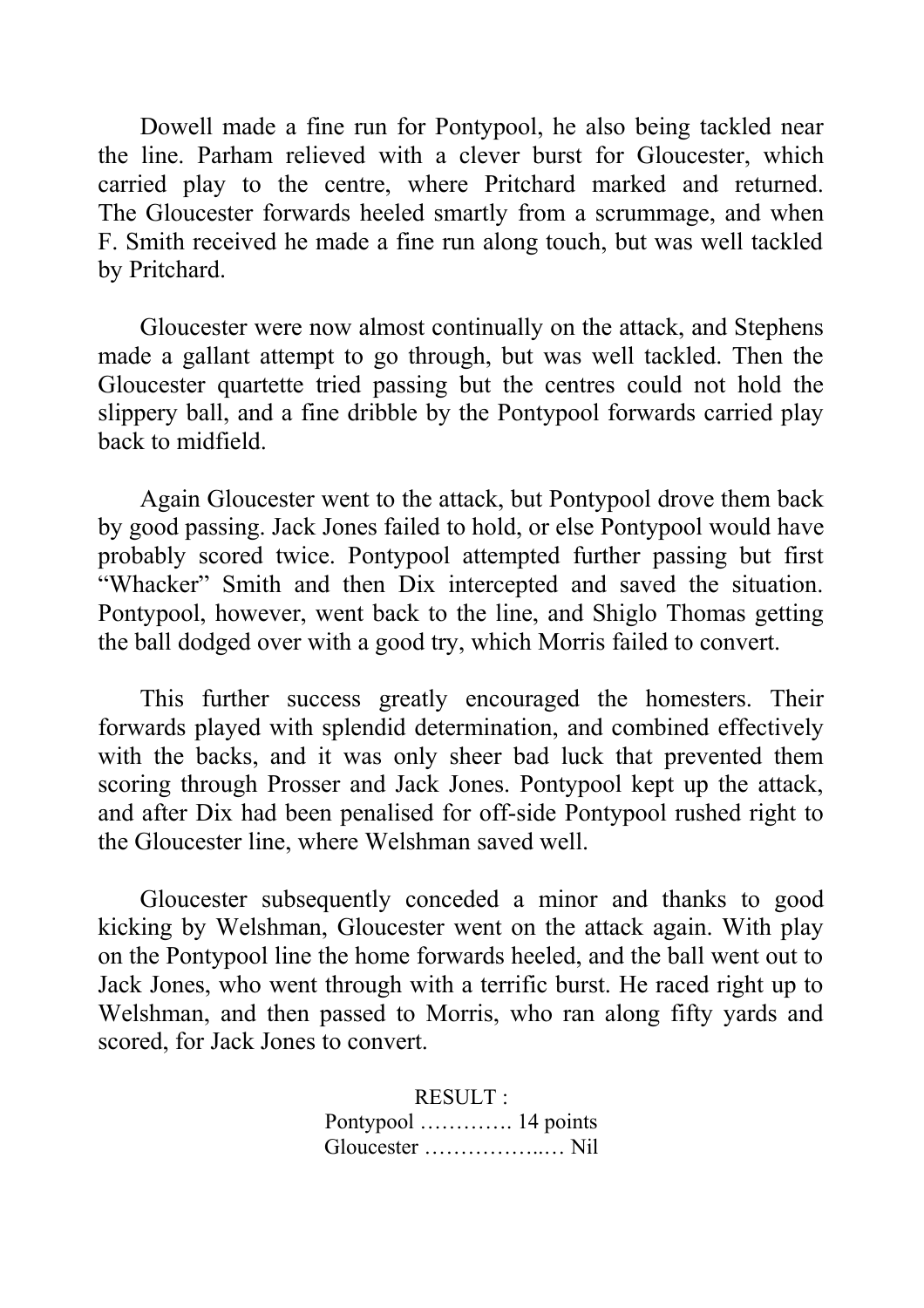Dowell made a fine run for Pontypool, he also being tackled near the line. Parham relieved with a clever burst for Gloucester, which carried play to the centre, where Pritchard marked and returned. The Gloucester forwards heeled smartly from a scrummage, and when F. Smith received he made a fine run along touch, but was well tackled by Pritchard.

Gloucester were now almost continually on the attack, and Stephens made a gallant attempt to go through, but was well tackled. Then the Gloucester quartette tried passing but the centres could not hold the slippery ball, and a fine dribble by the Pontypool forwards carried play back to midfield.

Again Gloucester went to the attack, but Pontypool drove them back by good passing. Jack Jones failed to hold, or else Pontypool would have probably scored twice. Pontypool attempted further passing but first "Whacker" Smith and then Dix intercepted and saved the situation. Pontypool, however, went back to the line, and Shiglo Thomas getting the ball dodged over with a good try, which Morris failed to convert.

This further success greatly encouraged the homesters. Their forwards played with splendid determination, and combined effectively with the backs, and it was only sheer bad luck that prevented them scoring through Prosser and Jack Jones. Pontypool kept up the attack, and after Dix had been penalised for off-side Pontypool rushed right to the Gloucester line, where Welshman saved well.

Gloucester subsequently conceded a minor and thanks to good kicking by Welshman, Gloucester went on the attack again. With play on the Pontypool line the home forwards heeled, and the ball went out to Jack Jones, who went through with a terrific burst. He raced right up to Welshman, and then passed to Morris, who ran along fifty yards and scored, for Jack Jones to convert.

> RESULT : Pontypool …………. 14 points Gloucester ……………..… Nil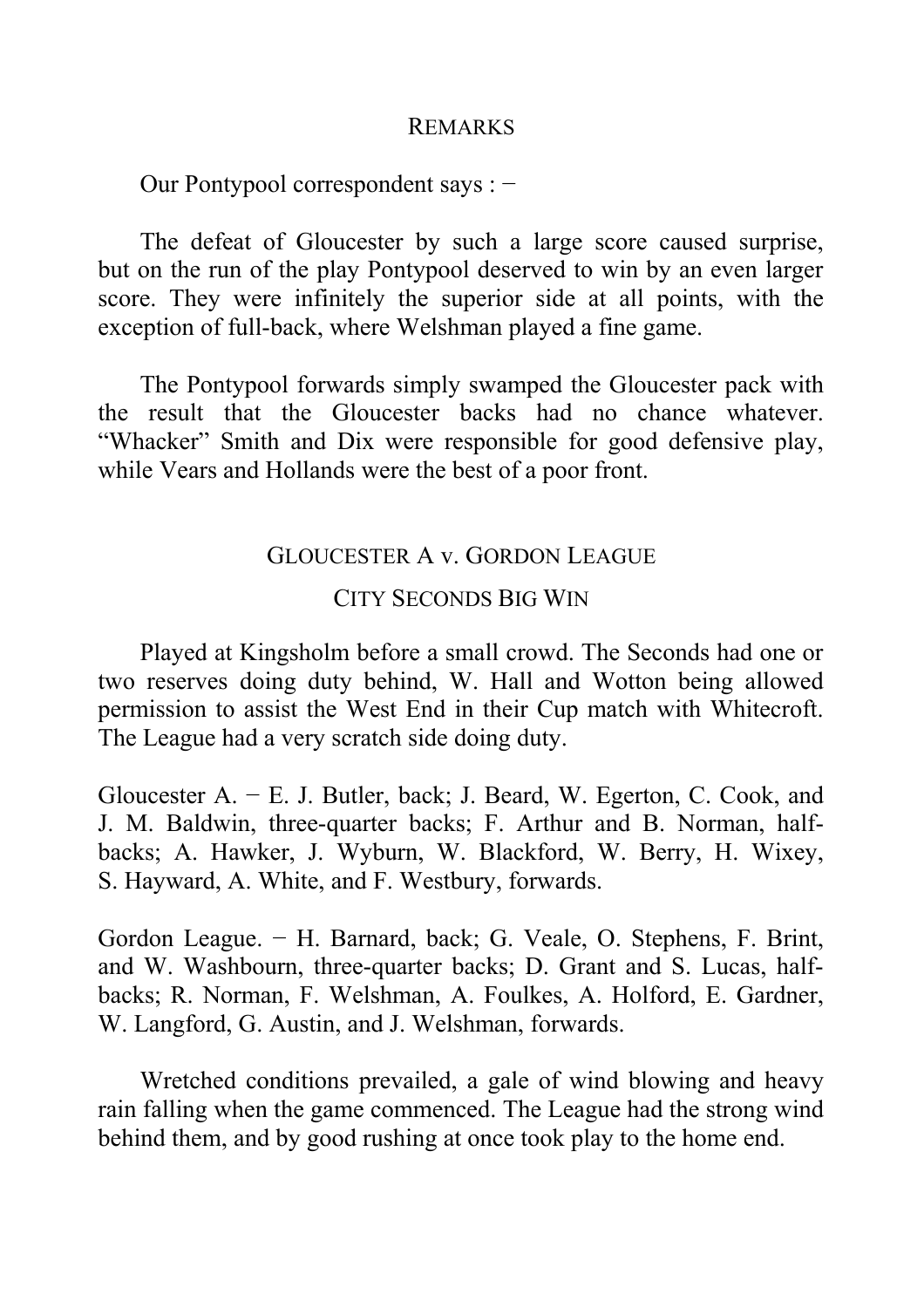#### REMARKS

Our Pontypool correspondent says : −

The defeat of Gloucester by such a large score caused surprise, but on the run of the play Pontypool deserved to win by an even larger score. They were infinitely the superior side at all points, with the exception of full-back, where Welshman played a fine game.

The Pontypool forwards simply swamped the Gloucester pack with the result that the Gloucester backs had no chance whatever. "Whacker" Smith and Dix were responsible for good defensive play, while Vears and Hollands were the best of a poor front.

## GLOUCESTER A v. GORDON LEAGUE

#### CITY SECONDS BIG WIN

Played at Kingsholm before a small crowd. The Seconds had one or two reserves doing duty behind, W. Hall and Wotton being allowed permission to assist the West End in their Cup match with Whitecroft. The League had a very scratch side doing duty.

Gloucester A. − E. J. Butler, back; J. Beard, W. Egerton, C. Cook, and J. M. Baldwin, three-quarter backs; F. Arthur and B. Norman, halfbacks; A. Hawker, J. Wyburn, W. Blackford, W. Berry, H. Wixey, S. Hayward, A. White, and F. Westbury, forwards.

Gordon League. − H. Barnard, back; G. Veale, O. Stephens, F. Brint, and W. Washbourn, three-quarter backs; D. Grant and S. Lucas, halfbacks; R. Norman, F. Welshman, A. Foulkes, A. Holford, E. Gardner, W. Langford, G. Austin, and J. Welshman, forwards.

Wretched conditions prevailed, a gale of wind blowing and heavy rain falling when the game commenced. The League had the strong wind behind them, and by good rushing at once took play to the home end.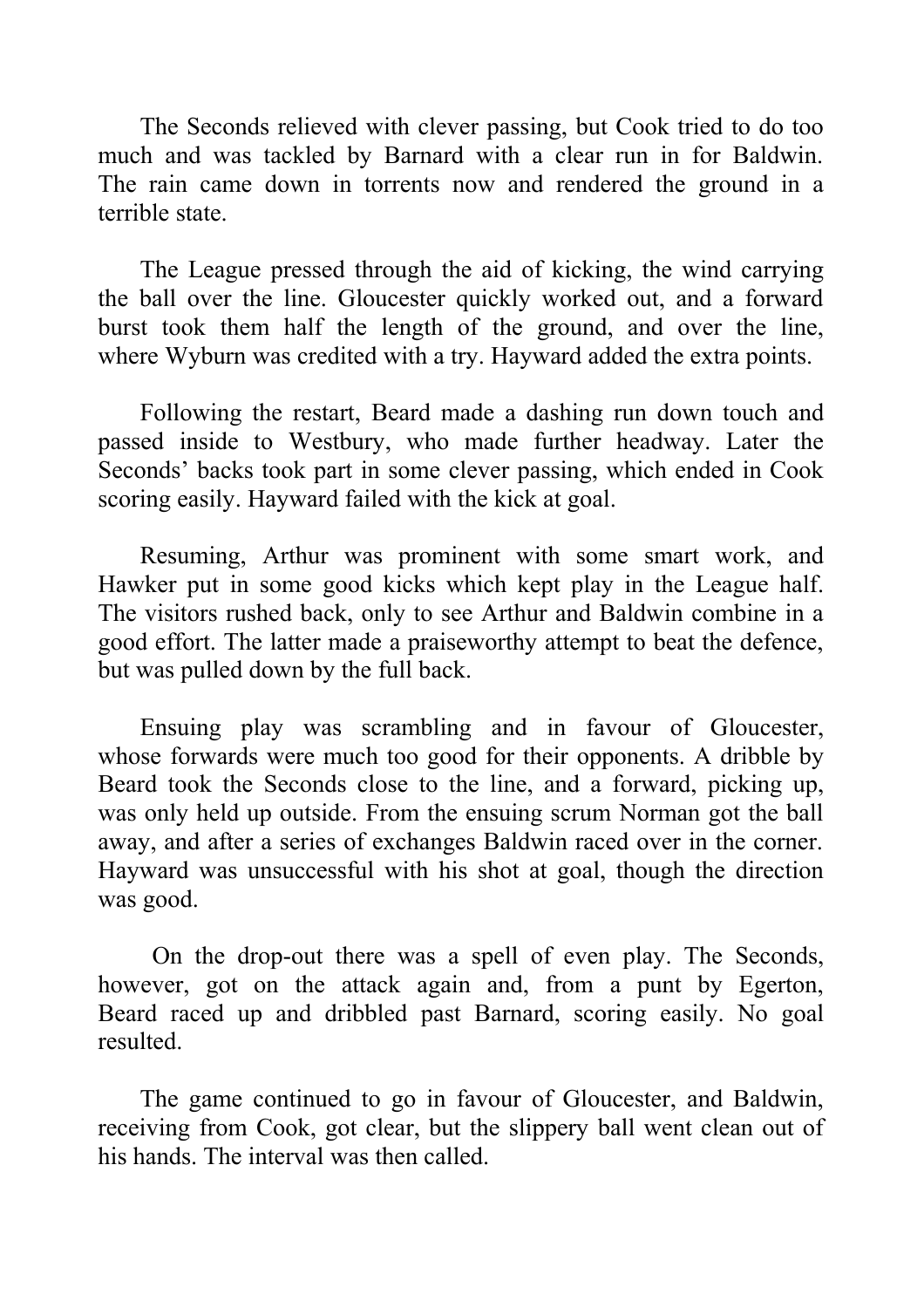The Seconds relieved with clever passing, but Cook tried to do too much and was tackled by Barnard with a clear run in for Baldwin. The rain came down in torrents now and rendered the ground in a terrible state.

The League pressed through the aid of kicking, the wind carrying the ball over the line. Gloucester quickly worked out, and a forward burst took them half the length of the ground, and over the line, where Wyburn was credited with a try. Hayward added the extra points.

Following the restart, Beard made a dashing run down touch and passed inside to Westbury, who made further headway. Later the Seconds' backs took part in some clever passing, which ended in Cook scoring easily. Hayward failed with the kick at goal.

Resuming, Arthur was prominent with some smart work, and Hawker put in some good kicks which kept play in the League half. The visitors rushed back, only to see Arthur and Baldwin combine in a good effort. The latter made a praiseworthy attempt to beat the defence, but was pulled down by the full back.

Ensuing play was scrambling and in favour of Gloucester, whose forwards were much too good for their opponents. A dribble by Beard took the Seconds close to the line, and a forward, picking up, was only held up outside. From the ensuing scrum Norman got the ball away, and after a series of exchanges Baldwin raced over in the corner. Hayward was unsuccessful with his shot at goal, though the direction was good.

 On the drop-out there was a spell of even play. The Seconds, however, got on the attack again and, from a punt by Egerton, Beard raced up and dribbled past Barnard, scoring easily. No goal resulted.

The game continued to go in favour of Gloucester, and Baldwin, receiving from Cook, got clear, but the slippery ball went clean out of his hands. The interval was then called.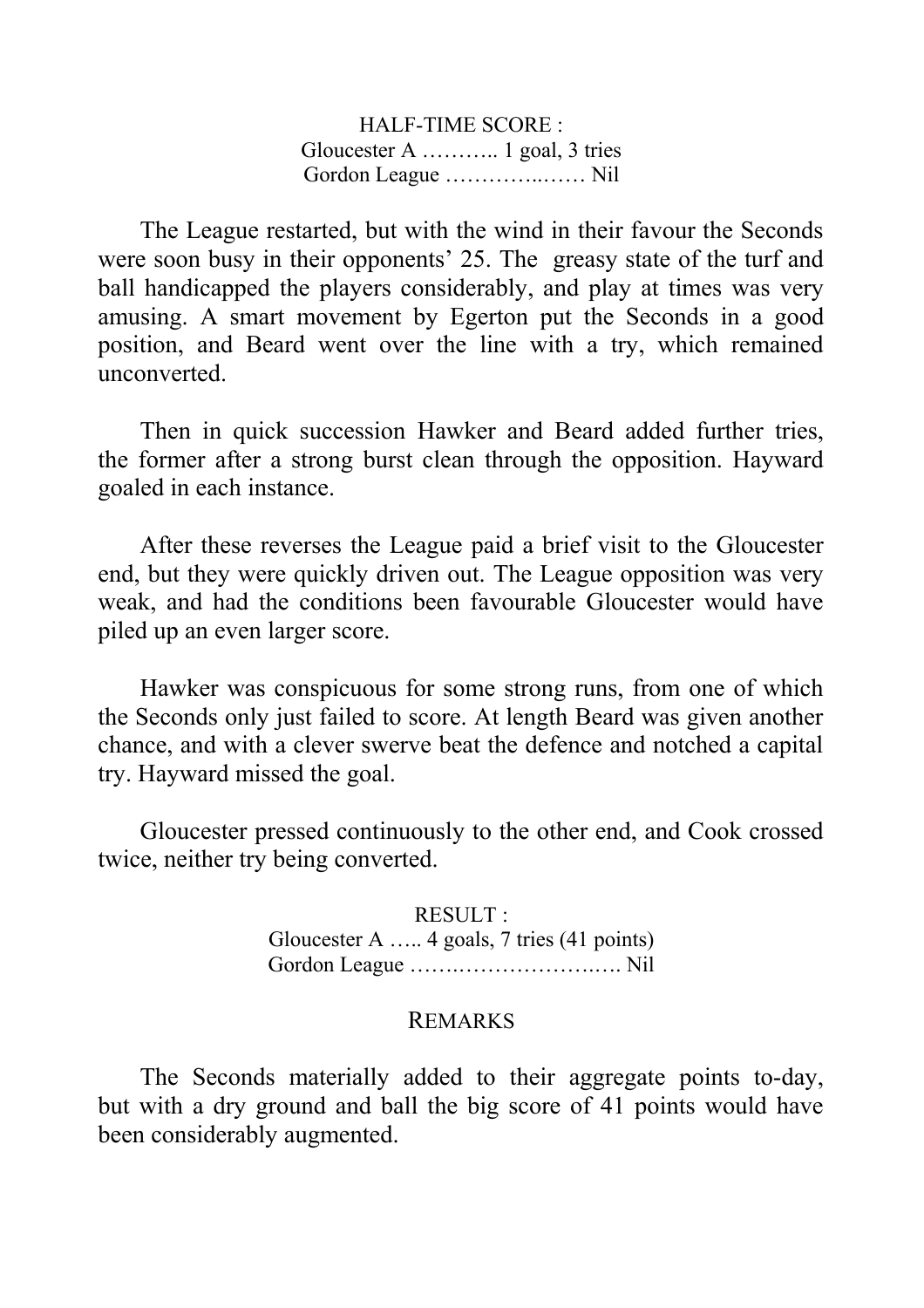HALF-TIME SCORE : Gloucester A ……….. 1 goal, 3 tries Gordon League …………..…… Nil

The League restarted, but with the wind in their favour the Seconds were soon busy in their opponents' 25. The greasy state of the turf and ball handicapped the players considerably, and play at times was very amusing. A smart movement by Egerton put the Seconds in a good position, and Beard went over the line with a try, which remained unconverted.

Then in quick succession Hawker and Beard added further tries, the former after a strong burst clean through the opposition. Hayward goaled in each instance.

After these reverses the League paid a brief visit to the Gloucester end, but they were quickly driven out. The League opposition was very weak, and had the conditions been favourable Gloucester would have piled up an even larger score.

Hawker was conspicuous for some strong runs, from one of which the Seconds only just failed to score. At length Beard was given another chance, and with a clever swerve beat the defence and notched a capital try. Hayward missed the goal.

Gloucester pressed continuously to the other end, and Cook crossed twice, neither try being converted.

> RESULT : Gloucester A ….. 4 goals, 7 tries (41 points) Gordon League …….……………….…. Nil

#### REMARKS

The Seconds materially added to their aggregate points to-day, but with a dry ground and ball the big score of 41 points would have been considerably augmented.